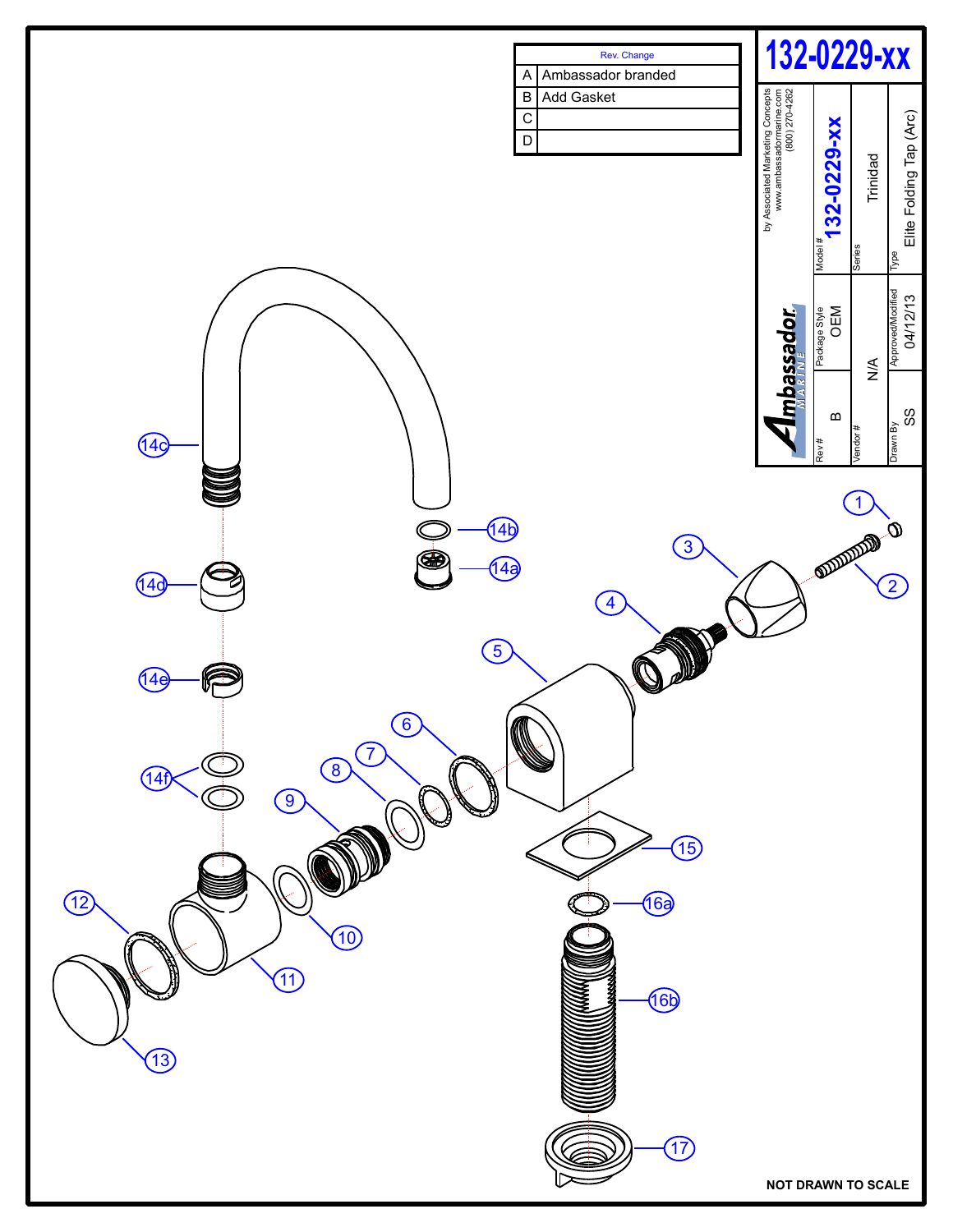